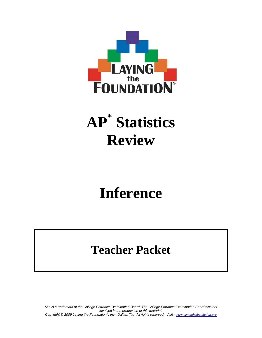

# **AP\* Statistics Review**

# **Inference**

# **Teacher Packet**

*AP\* is a trademark of the College Entrance Examination Board. The College Entrance Examination Board was not involved in the production of this material. Copyright © 2009 Laying the Foundation® , Inc., Dallas, TX. All rights reserved. Visit: www.layingthefoundation.org*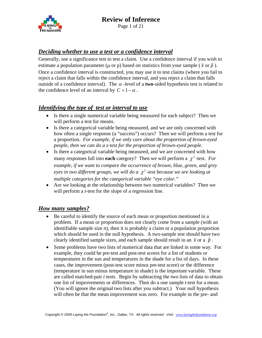

Page 1 of 21

#### *Deciding whether to use a test or a confidence interval*

Generally, use a significance test to test a claim. Use a confidence interval if you wish to estimate a population parameter ( $\mu$  or  $p$ ) based on statistics from your sample ( $\bar{x}$  or  $\hat{p}$ ). Once a confidence interval is constructed, you may use it to test claims (where you fail to reject a claim that falls within the confidence interval, and you reject a claim that falls outside of a confidence interval). The  $\alpha$ -level of a **two**-sided hypothesis test is related to the confidence level of an interval by  $C = 1 - \alpha$ .

#### *Identifying the type of test or interval to use*

- Is there a single numerical variable being measured for each subject? Then we will perform a test for means.
- Is there a categorical variable being measured, and we are only concerned with how often a single response (a "success") occurs? Then we will perform a test for a proportion. *For example, if we only care about the proportion of brown-eyed people, then we can do a z-test for the proportion of brown-eyed people.*
- Is there a categorical variable being measured, and we are concerned with how many responses fall into **each** category? Then we will perform a  $\chi^2$ -test. *For example, if we want to compare the occurrence of brown, blue, green, and grey eyes in two different groups, we will do a*  $\chi^2$ *-test because we are looking at multiple categories for the categorical variable "eye color."*
- Are we looking at the relationship between two numerical variables? Then we will perform a *t*-test for the slope of a regression line.

#### *How many samples?*

- Be careful to identify the source of each mean or proportion mentioned in a problem. If a mean or proportion does not clearly come from a sample (with an identifiable sample size *n*), then it is probably a claim or a population proportion which should be used in the null hypothesis. A two-sample test should have two clearly identified sample sizes, and each sample should result in an  $\bar{x}$  or a  $\hat{p}$ .
- Some problems have two lists of numerical data that are linked in some way. For example, they could be pre-test and post-test scores for a list of students or temperatures in the sun and temperatures in the shade for a list of days. In these cases, the improvement (post-test score minus pre-test score) or the difference (temperature in sun minus temperature in shade) is the important variable. These are called matched-pair *t* tests. Begin by subtracting the two lists of data to obtain one list of improvements or differences. Then do a one sample *t*-test for a mean. (You will ignore the original two lists after you subtract.) Your null hypothesis will often be that the mean improvement was zero. For example in the pre- and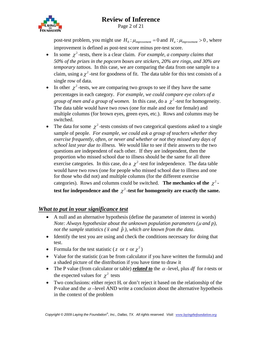

Page 2 of 21

post-test problem, you might use  $H_0: \mu_{\text{improvement}} = 0$  and  $H_a: \mu_{\text{improvement}} > 0$ , where improvement is defined as post-test score minus pre-test score.

- In some  $\chi^2$ -tests, there is a clear claim. *For example, a company claims that 50% of the prizes in the popcorn boxes are stickers, 20% are rings, and 30% are temporary tattoos.* In this case, we are comparing the data from one sample to a claim, using a  $\chi^2$ -test for goodness of fit. The data table for this test consists of a single row of data.
- In other  $\chi^2$ -tests, we are comparing two groups to see if they have the same percentages in each category. *For example, we could compare eye colors of a group of men and a group of women.* In this case, do a  $\chi^2$ -test for homogeneity. The data table would have two rows (one for male and one for female) and multiple columns (for brown eyes, green eyes, etc.). Rows and columns may be switched.
- The data for some  $\chi^2$ -tests consists of two categorical questions asked to a single sample of people. *For example, we could ask a group of teachers whether they exercise frequently, often, or never and whether or not they missed any days of school last year due to illness.* We would like to see if their answers to the two questions are independent of each other. If they are independent, then the proportion who missed school due to illness should be the same for all three exercise categories. In this case, do a  $\chi^2$ -test for independence. The data table would have two rows (one for people who missed school due to illness and one for those who did not) and multiple columns (for the different exercise categories). Rows and columns could be switched. **The mechanics of the**  $\chi^2$ test for independence and the  $\chi^2$ -test for homogeneity are exactly the same.

#### *What to put in your significance test*

- A null and an alternative hypothesis (define the parameter of interest in words) *Note: Always hypothesize about the unknown population parameters (*μ *and p), not the sample statistics* ( $\bar{x}$  *and*  $\hat{p}$  ), which are known from the data.
- Identify the test you are using and check the conditions necessary for doing that test.
- Formula for the test statistic (*z* or *t* or  $\chi^2$ )
- Value for the statistic (can be from calculator if you have written the formula) and a shaded picture of the distribution if you have time to draw it
- The P value (from calculator or table) *related to* the  $\alpha$ -level, plus *df* for *t*-tests or the expected values for  $\chi^2$  tests
- Two conclusions: either reject  $H_0$  or don't reject it based on the relationship of the P-value and the  $\alpha$  –level AND write a conclusion about the alternative hypothesis in the context of the problem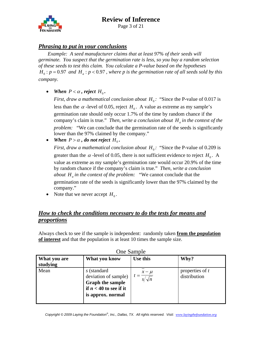

Page 3 of 21

#### *Phrasing to put in your conclusions*

*Example: A seed manufacturer claims that at least 97% of their seeds will germinate. You suspect that the germination rate is less, so you buy a random selection of these seeds to test this claim. You calculate a P-value based on the hypotheses*   $H_0$ :  $p = 0.97$  *and*  $H_a$ :  $p < 0.97$ , where p is the germination rate of all seeds sold by this *company.* 

• *When*  $P < \alpha$ , reject  $H_0$ .

*First, draw a mathematical conclusion about*  $H_0$ : "Since the P-value of 0.017 is less than the  $\alpha$ -level of 0.05, reject  $H_0$ . A value as extreme as my sample's germination rate should only occur 1.7% of the time by random chance if the company's claim is true." *Then, write a conclusion about*  $H_a$  *in the context of the problem:* "We can conclude that the germination rate of the seeds is significantly lower than the 97% claimed by the company."

• *When*  $P > \alpha$ , do not reject  $H_0$ .

*First, draw a mathematical conclusion about*  $H_0$ : "Since the P-value of 0.209 is greater than the  $\alpha$ -level of 0.05, there is not sufficient evidence to reject  $H_0$ . A value as extreme as my sample's germination rate would occur 20.9% of the time by random chance if the company's claim is true." *Then, write a conclusion about*  $H_a$  *in the context of the problem:* "We cannot conclude that the germination rate of the seeds is significantly lower than the 97% claimed by the company."

• Note that we never accept  $H_0$ .

#### *How to check the conditions necessary to do the tests for means and proportions*

Always check to see if the sample is independent: randomly taken **from the population of interest** and that the population is at least 10 times the sample size.

| What you are<br>studying | What you know                                                                                                   | Use this                  | Why?                              |
|--------------------------|-----------------------------------------------------------------------------------------------------------------|---------------------------|-----------------------------------|
| Mean                     | s (standard<br>deviation of sample)<br><b>Graph the sample</b><br>if $n < 40$ to see if it<br>is approx. normal | $x - \mu$<br>$s/\sqrt{n}$ | properties of $t$<br>distribution |

One Sample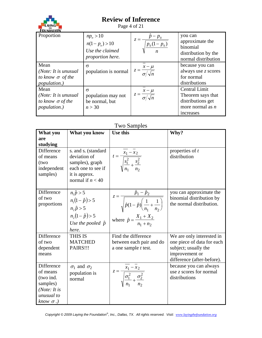

Page 4 of 21

| Proportion                                                                             | $np_{o} > 10$<br>$n(1-po) > 10$<br>Use the claimed<br>proportion here. | $= \frac{\hat{p} - p_0}{\sqrt{\frac{p_0(1 - p_0)}{p_0(1 - p_0)}}}$<br>$z = -$ | you can<br>approximate the<br>binomial<br>distribution by the<br>normal distribution       |
|----------------------------------------------------------------------------------------|------------------------------------------------------------------------|-------------------------------------------------------------------------------|--------------------------------------------------------------------------------------------|
| Mean<br>( <i>Note:</i> It is unusual<br>to know $\sigma$ of the<br><i>population.)</i> | $\sigma$<br>population is normal                                       | $z = \frac{x - \mu}{\sigma / \sqrt{n}}$                                       | because you can<br>always use z scores<br>for normal<br>distributions                      |
| Mean<br>( <i>Note:</i> It is unusual<br>to know $\sigma$ of the<br><i>population.)</i> | $\sigma$<br>population may not<br>be normal, but<br>n > 30             | $z = \frac{x - \mu}{\sigma / \sqrt{n}}$                                       | Central Limit<br>Theorem says that<br>distributions get<br>more normal as $n$<br>increases |

#### Two Samples

| What you                         | What you know                                                | Use this                                                                                                | Why?                                                 |
|----------------------------------|--------------------------------------------------------------|---------------------------------------------------------------------------------------------------------|------------------------------------------------------|
| are                              |                                                              |                                                                                                         |                                                      |
| studying<br>Difference           |                                                              |                                                                                                         |                                                      |
| of means<br>(two                 | $s_1$ and $s_2$ (standard<br>deviation of<br>samples), graph | $t = \frac{x_1}{\sqrt{\frac{s_1^2}{n_1} + \frac{s_2^2}{n_2}}}$                                          | properties of t<br>distribution                      |
| independent                      | each one to see if                                           |                                                                                                         |                                                      |
| samples)                         | it is approx.<br>normal if $n < 40$                          |                                                                                                         |                                                      |
| Difference                       | $n_1 \hat{p} > 5$                                            |                                                                                                         | you can approximate the                              |
| of two<br>proportions            | $n_1(1-\hat{p}) > 5$<br>$n, \hat{p} > 5$                     | $z = \frac{\hat{p}_1 - \hat{p}_2}{\sqrt{\hat{p}(1-\hat{p})\left(\frac{1}{n_1} + \frac{1}{n_2}\right)}}$ | binomial distribution by<br>the normal distribution. |
|                                  | $n_2(1-\hat{p}) > 5$                                         |                                                                                                         |                                                      |
|                                  | Use the pooled $\hat{p}$                                     | where $\hat{p} = \frac{X_1 + X_2}{n_1 + n_2}$                                                           |                                                      |
|                                  | here.                                                        |                                                                                                         |                                                      |
| Difference                       | THIS IS                                                      | Find the difference                                                                                     | We are only interested in                            |
| of two                           | <b>MATCHED</b>                                               | between each pair and do                                                                                | one piece of data for each                           |
| dependent<br>means               | PAIRS!!!                                                     | a one sample <i>t</i> test.                                                                             | subject; usually the<br>improvement or               |
|                                  |                                                              |                                                                                                         | difference (after-before).                           |
| Difference                       | $\sigma_1$ and $\sigma_2$                                    |                                                                                                         | because you can always                               |
| of means                         | population is                                                |                                                                                                         | use $z$ scores for normal                            |
| (two ind.                        | normal                                                       | $z = \frac{x_1 - x_2}{\sqrt{\frac{\sigma_1^2}{n} + \frac{\sigma_2^2}{n}}}$                              | distributions                                        |
| samples)<br>( <i>Note:</i> It is |                                                              |                                                                                                         |                                                      |
| unusual to                       |                                                              |                                                                                                         |                                                      |
| know $\sigma$ .)                 |                                                              |                                                                                                         |                                                      |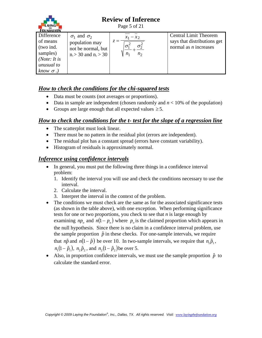

Page 5 of 21

| <b>EQUINDATION</b>                                                                                       |                                                                                                |                                                   |                                                                                        |
|----------------------------------------------------------------------------------------------------------|------------------------------------------------------------------------------------------------|---------------------------------------------------|----------------------------------------------------------------------------------------|
| Difference<br>of means<br>(two ind.<br>samples)<br>( <i>Note:</i> It is<br>unusual to<br>$known \sigma.$ | $\sigma_1$ and $\sigma_2$<br>population may<br>not be normal, but<br>$n_1 > 30$ and $n_2 > 30$ | $x_1 - x_2$<br>$z =$<br>$n_{2}$<br>n <sub>1</sub> | <b>Central Limit Theorem</b><br>says that distributions get<br>normal as $n$ increases |

#### *How to check the conditions for the chi-squared tests*

- Data must be counts (not averages or proportions).
- Data in sample are independent (chosen randomly and  $n < 10\%$  of the population)
- Groups are large enough that all expected values  $\geq 5$ .

### *How to check the conditions for the t- test for the slope of a regression line*

- The scatterplot must look linear.
- There must be no pattern in the residual plot (errors are independent).
- The residual plot has a constant spread (errors have constant variability).
- Histogram of residuals is approximately normal.

#### *Inference using confidence intervals*

- In general, you must put the following three things in a confidence interval problem:
	- 1. Identify the interval you will use and check the conditions necessary to use the interval.
	- 2. Calculate the interval.
	- 3. Interpret the interval in the context of the problem.
- The conditions we must check are the same as for the associated significance tests (as shown in the table above), with one exception. When performing significance tests for one or two proportions, you check to see that *n* is large enough by examining  $np_a$  and  $n(1 - p_a)$  where  $p_a$  is the claimed proportion which appears in the null hypothesis. Since there is no claim in a confidence interval problem, use the sample proportion  $\hat{p}$  in these checks. For one-sample intervals, we require that *n* $\hat{p}$  and *n*( $1-\hat{p}$ ) be over 10. In two-sample intervals, we require that  $n_1\hat{p}_1$ ,  $n_1(1-\hat{p}_1), n_2\hat{p}_2$ , and  $n_2(1-\hat{p}_2)$  be over 5.
- Also, in proportion confidence intervals, we must use the sample proportion  $\hat{p}$  to calculate the standard error.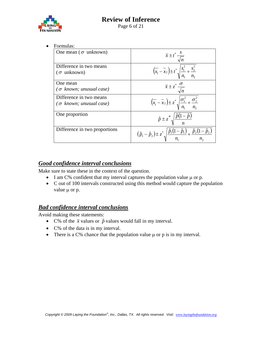

• Formulas:

| One mean ( $\sigma$ unknown)                              | $\overline{x} \pm t^* \frac{s}{\sqrt{2}}$                                                                         |
|-----------------------------------------------------------|-------------------------------------------------------------------------------------------------------------------|
| Difference in two means<br>$(\sigma$ unknown)             | $\left(x_1 - x_2\right) \pm t^* \sqrt{\frac{s_1^2}{n_1} + \frac{s_2^2}{n_2}}$                                     |
| One mean<br>$(\sigma$ known; unusual case)                | $\overline{x} \pm z^* \frac{0}{\sqrt{n}}$                                                                         |
| Difference in two means<br>$(\sigma$ known; unusual case) | $\left(\overline{x_1} - \overline{x_2}\right) \pm z^* \sqrt{\frac{{\sigma_1}^2}{n_1} + \frac{{\sigma_2}^2}{n_2}}$ |
| One proportion                                            | $\hat{p} \pm z^* \sqrt{\frac{\hat{p}(1-\hat{p})}{n}}$                                                             |
| Difference in two proportions                             | $(\hat{p}_1 - \hat{p}_2) \pm z^* \sqrt{\frac{\hat{p}_1(1-\hat{p}_1)}{n_1} + \frac{\hat{p}_2(1-\hat{p}_2)}{n_2}}$  |

#### *Good confidence interval conclusions*

Make sure to state these in the context of the question.

- I am C% confident that my interval captures the population value μ or p.
- C out of 100 intervals constructed using this method would capture the population value μ or p.

#### *Bad confidence interval conclusions*

Avoid making these statements:

- C% of the  $\bar{x}$  values or  $\hat{p}$  values would fall in my interval.
- C% of the data is in my interval.
- There is a  $C\%$  chance that the population value  $\mu$  or p is in my interval.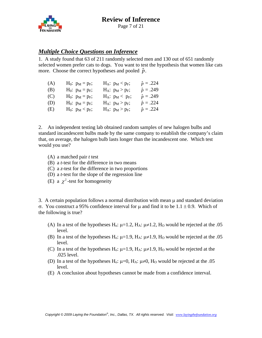

Page 7 of 21

#### *Multiple Choice Questions on Inference*

1. A study found that 63 of 211 randomly selected men and 130 out of 651 randomly selected women prefer cats to dogs. You want to test the hypothesis that women like cats more. Choose the correct hypotheses and pooled  $\hat{p}$ .

| (A) | $H_0: p_M = p_F;$ | $H_A$ : $p_M$ < $p_F$ ; | $\hat{p} = .224$ |
|-----|-------------------|-------------------------|------------------|
| (B) | $H_0: p_M = p_F;$ | $H_A: p_M > p_F;$       | $\hat{p} = .249$ |
| (C) | $H_0: p_M = p_F;$ | $H_A$ : $p_M$ < $p_F$ ; | $\hat{p} = .249$ |
| (D) | $H_0: p_M = p_F;$ | $H_A: p_M > p_F;$       | $\hat{p} = .224$ |
| (E) | $H_0: p_M < p_F;$ | $H_A: p_M > p_F;$       | $\hat{p} = .224$ |

2. An independent testing lab obtained random samples of new halogen bulbs and standard incandescent bulbs made by the same company to establish the company's claim that, on average, the halogen bulb lasts longer than the incandescent one. Which test would you use?

- (A) a matched pair *t* test
- (B) a *t*-test for the difference in two means
- (C) a *z*-test for the difference in two proportions
- (D) a *t*-test for the slope of the regression line
- (E) a  $\chi^2$ -test for homogeneity

3. A certain population follows a normal distribution with mean μ and standard deviation σ. You construct a 95% confidence interval for μ and find it to be 1.1 ± 0.9. Which of the following is true?

- (A) In a test of the hypotheses H<sub>0</sub>:  $\mu$ =1.2, H<sub>A</sub>:  $\mu \neq$ 1.2, H<sub>0</sub> would be rejected at the .05 level.
- (B) In a test of the hypotheses H<sub>0</sub>:  $\mu$ =1.9, H<sub>A</sub>:  $\mu \neq$ 1.9, H<sub>0</sub> would be rejected at the .05 level.
- (C) In a test of the hypotheses H<sub>o</sub>:  $\mu$ =1.9, H<sub>A</sub>:  $\mu \neq$ 1.9, H<sub>O</sub> would be rejected at the .025 level.
- (D) In a test of the hypotheses H<sub>o</sub>:  $\mu$ =0, H<sub>A</sub>:  $\mu \neq 0$ , H<sub>O</sub> would be rejected at the .05 level.
- (E) A conclusion about hypotheses cannot be made from a confidence interval.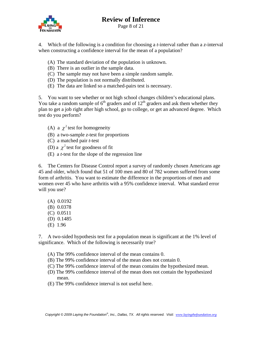

4. Which of the following is a condition for choosing a *t*-interval rather than a *z*-interval when constructing a confidence interval for the mean of a population?

- (A) The standard deviation of the population is unknown.
- (B) There is an outlier in the sample data.
- (C) The sample may not have been a simple random sample.
- (D) The population is not normally distributed.
- (E) The data are linked so a matched-pairs test is necessary.

5. You want to see whether or not high school changes children's educational plans. You take a random sample of  $6<sup>th</sup>$  graders and of  $12<sup>th</sup>$  graders and ask them whether they plan to get a job right after high school, go to college, or get an advanced degree. Which test do you perform?

- (A) a  $\chi^2$  test for homogeneity
- (B) a two-sample *z*-test for proportions
- (C) a matched pair *t*-test
- (D) a  $\gamma^2$  test for goodness of fit
- (E) a *t*-test for the slope of the regression line

6. The Centers for Disease Control report a survey of randomly chosen Americans age 45 and older, which found that 51 of 100 men and 80 of 782 women suffered from some form of arthritis. You want to estimate the difference in the proportions of men and women over 45 who have arthritis with a 95% confidence interval. What standard error will you use?

 (A) 0.0192 (B) 0.0378 (C) 0.0511 (D) 0.1485 (E) 1.96

7. A two-sided hypothesis test for a population mean is significant at the 1% level of significance. Which of the following is necessarily true?

- (A) The 99% confidence interval of the mean contains 0.
- (B) The 99% confidence interval of the mean does not contain 0.
- (C) The 99% confidence interval of the mean contains the hypothesized mean.
- (D) The 99% confidence interval of the mean does not contain the hypothesized mean.
- (E) The 99% confidence interval is not useful here.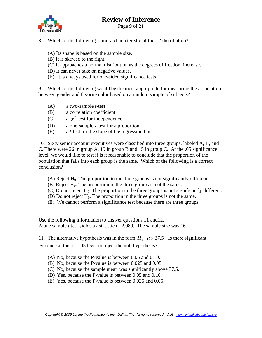

Page 9 of 21

- 8. Which of the following is **not** a characteristic of the  $\chi^2$  distribution?
	- (A) Its shape is based on the sample size.
	- (B) It is skewed to the right.
	- (C) It approaches a normal distribution as the degrees of freedom increase.
	- (D) It can never take on negative values.
	- (E) It is always used for one-sided significance tests.

9. Which of the following would be the most appropriate for measuring the association between gender and favorite color based on a random sample of subjects?

- (A) a two-sample *t*-test
- (B) a correlation coefficient
- (C) a  $\chi^2$ -test for independence
- (D) a one-sample *z*-test for a proportion
- (E) a *t*-test for the slope of the regression line

10. Sixty senior account executives were classified into three groups, labeled A, B, and C. There were 26 in group A, 19 in group B and 15 in group C. At the .05 significance level, we would like to test if is it reasonable to conclude that the proportion of the population that falls into each group is the same. Which of the following is a correct conclusion?

- (A) Reject  $H_0$ . The proportion in the three groups is not significantly different.
- $(B)$  Reject  $H<sub>0</sub>$ . The proportion in the three groups is not the same.
- (C) Do not reject  $H_0$ . The proportion in the three groups is not significantly different.
- (D) Do not reject  $H_0$ . The proportion in the three groups is not the same.
- (E) We cannot perform a significance test because there are three groups.

Use the following information to answer questions 11 and12. A one sample *t* test yields a *t* statistic of 2.089. The sample size was 16.

11. The alternative hypothesis was in the form  $H_a$ :  $\mu$  > 37.5. Is there significant evidence at the  $\alpha = .05$  level to reject the null hypothesis?

- (A) No, because the P-value is between 0.05 and 0.10.
- (B) No, because the P-value is between 0.025 and 0.05.
- (C) No, because the sample mean was significantly above 37.5.
- (D) Yes, because the P-value is between 0.05 and 0.10.
- (E) Yes, because the P-value is between 0.025 and 0.05.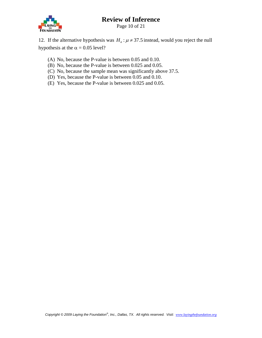

Page 10 of 21

12. If the alternative hypothesis was  $H_a$ :  $\mu \neq 37.5$  instead, would you reject the null hypothesis at the  $\alpha = 0.05$  level?

- (A) No, because the P-value is between 0.05 and 0.10.
- (B) No, because the P-value is between 0.025 and 0.05.
- (C) No, because the sample mean was significantly above 37.5.
- (D) Yes, because the P-value is between 0.05 and 0.10.
- (E) Yes, because the P-value is between 0.025 and 0.05.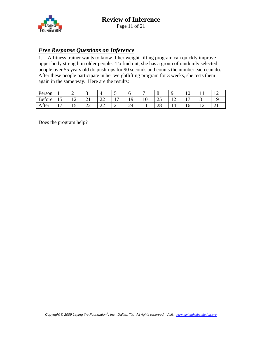

#### *Free Response Questions on Inference*

1. A fitness trainer wants to know if her weight-lifting program can quickly improve upper body strength in older people. To find out, she has a group of randomly selected people over 55 years old do push-ups for 90 seconds and counts the number each can do. After these people participate in her weightlifting program for 3 weeks, she tests them again in the same way. Here are the results:

| Person |    | ∽                   | ້                                  |                     | ັ   | υ                               | -   | ◡             |    | ΙV       |        |   |
|--------|----|---------------------|------------------------------------|---------------------|-----|---------------------------------|-----|---------------|----|----------|--------|---|
| Before | ⊥ື | 1 <sub>0</sub><br>∸ | $\sim$<br>$\sim$ 1                 | $\mathbf{A}$<br>∠∠  | . . | $\sqrt{ }$<br>. .               | ιv  | $\cap$<br>ل ک | ┸  | -<br>. . | C<br>Ő |   |
| After  | -  | ⊥ັ                  | $\cap$<br>$\overline{\phantom{m}}$ | $\sim$ $\sim$<br>∠∠ | ∠⊥  | $\mathcal{D}$ $\Lambda$<br>ـ ــ | . . | ററ<br>∠о      | 14 | ΙU       | --     | ∸ |

Does the program help?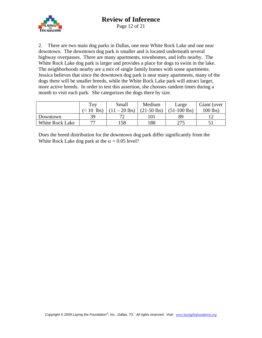

Page 12 of 21

2. There are two main dog parks in Dallas, one near White Rock Lake and one near downtown. The downtown dog park is smaller and is located underneath several highway overpasses. There are many apartments, townhomes, and lofts nearby. The White Rock Lake dog park is larger and provides a place for dogs to swim in the lake. The neighborhoods nearby are a mix of single family homes with some apartments. Jessica believes that since the downtown dog park is near many apartments, many of the dogs there will be smaller breeds, while the White Rock Lake park will attract larger, more active breeds. In order to test this assertion, she chooses random times during a month to visit each park. She categorizes the dogs there by size.

|                        | Toy              | Small      | Medium        | Large          | Giant (over |
|------------------------|------------------|------------|---------------|----------------|-------------|
|                        | <b>lbs</b><br>10 | $-20$ lbs) | $(21-50$ lbs) | $(51-100$ lbs) | $100$ lbs)  |
| Downtown               | 39               |            |               | 89             |             |
| <b>White Rock Lake</b> | די               | 58         | 188           | つつら            |             |

Does the breed distribution for the downtown dog park differ significantly from the White Rock Lake dog park at the  $\alpha = 0.05$  level?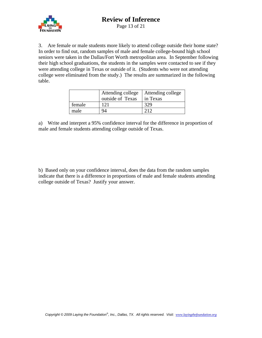

3. Are female or male students more likely to attend college outside their home state? In order to find out, random samples of male and female college-bound high school seniors were taken in the Dallas/Fort Worth metropolitan area. In September following their high school graduations, the students in the samples were contacted to see if they were attending college in Texas or outside of it. (Students who were not attending college were eliminated from the study.) The results are summarized in the following table.

|        | Attending college<br>outside of Texas | Attending college<br>in Texas |
|--------|---------------------------------------|-------------------------------|
| female | 121                                   | 329                           |
| male   |                                       | າ 1 າ                         |

a) Write and interpret a 95% confidence interval for the difference in proportion of male and female students attending college outside of Texas.

b) Based only on your confidence interval, does the data from the random samples indicate that there is a difference in proportions of male and female students attending college outside of Texas? Justify your answer.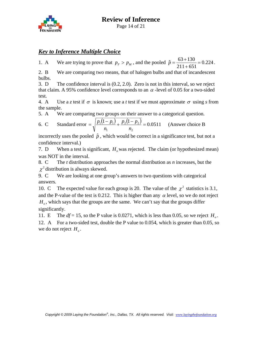

Page 14 of 21

#### *Key to Inference Multiple Choice*

1. A We are trying to prove that  $p_F > p_M$ , and the pooled  $\hat{p} = \frac{63 + 130}{211 + 651} = 0.224$ .

2. B We are comparing two means, that of halogen bulbs and that of incandescent bulbs.

3. D The confidence interval is (0.2, 2.0). Zero is not in this interval, so we reject that claim. A 95% confidence level corresponds to an  $\alpha$ -level of 0.05 for a two-sided test.

4. A Use a *z* test if  $\sigma$  is known; use a *t* test if we must approximate  $\sigma$  using *s* from the sample.

5. A We are comparing two groups on their answer to a categorical question.

6. C Standard error = 
$$
\sqrt{\frac{p_1(1-p_1)}{n_1} + \frac{p_2(1-p_2)}{n_2}} = 0.0511
$$
 (Answer choice B)

incorrectly uses the pooled  $\hat{p}$ , which would be correct in a significance test, but not a confidence interval.)

7. D When a test is significant,  $H_0$  was rejected. The claim (or hypothesized mean) was NOT in the interval.

8. C The *t* distribution approaches the normal distribution as *n* increases, but the  $\chi^2$  distribution is always skewed.

9. C We are looking at one group's answers to two questions with categorical answers.

10. C The expected value for each group is 20. The value of the  $\chi^2$  statistics is 3.1, and the P-value of the test is 0.212. This is higher than any  $\alpha$  level, so we do not reject  $H<sub>o</sub>$ , which says that the groups are the same. We can't say that the groups differ significantly.

11. E The  $df = 15$ , so the P value is 0.0271, which is less than 0.05, so we reject  $H<sub>o</sub>$ .

12. A For a two-sided test, double the P value to 0.054, which is greater than 0.05, so we do not reject  $H<sub>o</sub>$ .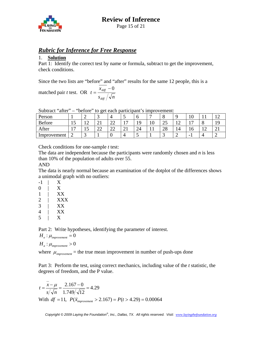#### *Rubric for Inference for Free Response*

#### 1. **Solution**

Part 1: Identify the correct test by name or formula, subtract to get the improvement, check conditions.

Since the two lists are "before" and "after" results for the same 12 people, this is a

matched pair *t* test. OR  $s_{\scriptscriptstyle\it diff} \, / \sqrt{n}$ *x t diff*  $=\frac{x_{\text{diff}}-0}{\sqrt{2}}$ 

Subtract "after" – "before" to get each participant's improvement:

| Person      |                |     | ັ                 |              | $\overline{\phantom{0}}$ |     |    | O        |               |     |    |              |
|-------------|----------------|-----|-------------------|--------------|--------------------------|-----|----|----------|---------------|-----|----|--------------|
| Before      | ⊥ັ             | - ∠ | $\bigcap$ 1<br>∠⊥ | $\sim$<br>∠∠ | -                        | ه ۱ | ιv | ົ<br>رے  | $\sim$<br>- ∠ | —   | U  |              |
| After       | $\overline{ }$ | ⊥◡  | $\cap$<br>∠∠      | $\sim$<br>∠∠ | $\bigcap$<br>∠⊥          | 24  |    | ററ<br>20 | 14            | 1 V | ⊥∠ | $\sim$<br>∠⊥ |
| Improvement | ∠              |     |                   |              |                          | . . |    | ັ        |               | -   |    |              |

Check conditions for one-sample *t* test:

The data are independent because the participants were randomly chosen and *n* is less than 10% of the population of adults over 55.

AND

The data is nearly normal because an examination of the dotplot of the differences shows a unimodal graph with no outliers:

 $-1$  | X 0 | X 1 | XX 2 | XXX 3 | XX 4 | XX 5 | X

Part 2: Write hypotheses, identifying the parameter of interest.

 $H_o: \mu_{\text{improvement}} = 0$ 

 $H_a$ :  $\mu_{\text{improvement}} > 0$ 

where  $\mu_{\text{improvement}}$  = the true mean improvement in number of push-ups done

Part 3: Perform the test, using correct mechanics, including value of the *t* statistic, the degrees of freedom, and the P value.

$$
t = \frac{\overline{x} - \mu}{s/\sqrt{n}} = \frac{2.167 - 0}{1.749/\sqrt{12}} = 4.29
$$
  
With df = 11,  $P(\overline{x}_{\text{improvement}} > 2.167) = P(t > 4.29) = 0.00064$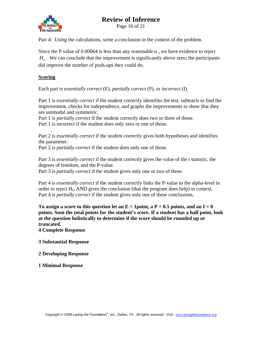

Page 16 of 21

Part 4: Using the calculations, write a conclusion in the context of the problem.

Since the P value of 0.00064 is less than any reasonable  $\alpha$ , we have evidence to reject  $H<sub>o</sub>$ . We can conclude that the improvement is significantly above zero; the participants did improve the number of push-ups they could do.

#### **Scoring**

.

Each part is *essentially correct* (E), *partially correct* (P), or *incorrect* (I).

Part 1 is *essentially correct* if the student correctly identifies the test, subtracts to find the improvement, checks for independence, and graphs the improvements to show that they are unimodal and symmetric.

Part 1 is *partially correct* if the student correctly does two or three of those. Part 1 is incorrect if the student does only zero or one of those.

Part 2 is *essentially correct* if the student correctly gives both hypotheses and identifies the parameter.

Part 2 is *partially correct* if the student does only one of those.

Part 3 is *essentially correct* if the student correctly gives the value of the t statistic, the degrees of freedom, and the P-value.

Part 3 is *partially correct* if the student gives only one or two of these.

Part 4 is *essentially correct* if the student correctly links the P-value to the alpha-level in order to reject  $H_0$  AND gives the conclusion (that the program does help) in context. Part 4 is *partially correct* if the student gives only one of these conclusions.

To assign a score to this question let an  $E = 1$  point, a  $P = 0.5$  points, and an  $I = 0$ **points. Sum the total points for the student's score. If a student has a half point, look at the question holistically to determine if the score should be rounded up or truncated.** 

**4 Complete Response** 

**3 Substantial Response** 

**2 Developing Response** 

**1 Minimal Response**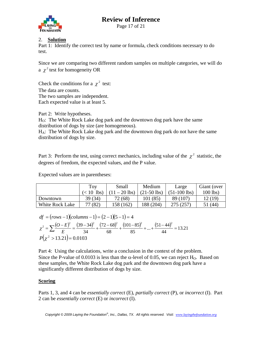

Page 17 of 21

#### 2. **Solution**

Part 1: Identify the correct test by name or formula, check conditions necessary to do test.

Since we are comparing two different random samples on multiple categories, we will do a  $\chi^2$  test for homogeneity OR

Check the conditions for a  $\chi^2$  test: The data are counts. The two samples are independent. Each expected value is at least 5.

Part 2: Write hypotheses. HO: The White Rock Lake dog park and the downtown dog park have the same distribution of dogs by size (are homogeneous).  $H_A$ : The White Rock Lake dog park and the downtown dog park do not have the same distribution of dogs by size.

Part 3: Perform the test, using correct mechanics, including value of the  $\chi^2$  statistic, the degrees of freedom, the expected values, and the P value.

Expected values are in parentheses:

|                 | Toy                    | Small      | Medium        | Large        | Giant (over |
|-----------------|------------------------|------------|---------------|--------------|-------------|
|                 | lbs)<br>$($ $<$ 10 $)$ | $-20$ lbs) | $(21-50$ lbs) | (51-100 lbs) | $100$ lbs)  |
| Downtown        | 39 (34)                | 72 (68)    | 101(85)       | 89 (107)     | 12 (19)     |
| White Rock Lake | 77 (82)                | 158 (162)  | 188 (204)     | 275 (257)    | (44)        |

$$
df = (rows - 1)(columns - 1) = (2 - 1)(5 - 1) = 4
$$
  
\n
$$
\chi^2 = \sum \frac{(O - E)^2}{E} = \frac{(39 - 34)^2}{34} + \frac{(72 - 68)^2}{68} + \frac{(101 - 85)^2}{85} + ... + \frac{(51 - 44)^2}{44} = 13.21
$$
  
\n
$$
P(\chi^2 > 13.21) = 0.0103
$$

Part 4: Using the calculations, write a conclusion in the context of the problem. Since the P-value of 0.0103 is less than the  $\alpha$ -level of 0.05, we can reject H<sub>O</sub>. Based on these samples, the White Rock Lake dog park and the downtown dog park have a significantly different distribution of dogs by size.

#### **Scoring**

Parts 1, 3, and 4 can be *essentially correct* (E), *partially correct* (P), or *incorrect* (I). Part 2 can be *essentially correct* (E) or *incorrect* (I).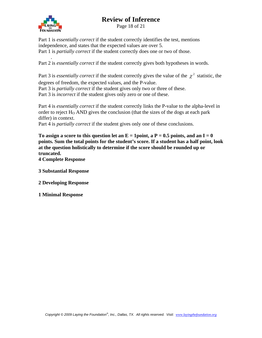

Page 18 of 21

Part 1 is *essentially correct* if the student correctly identifies the test, mentions independence, and states that the expected values are over 5. Part 1 is *partially correct* if the student correctly does one or two of those.

 . Part 2 is *essentially correct* if the student correctly gives both hypotheses in words.

Part 3 is *essentially correct* if the student correctly gives the value of the  $\chi^2$  statistic, the degrees of freedom, the expected values, and the P-value. Part 3 is *partially correct* if the student gives only two or three of these. Part 3 is *incorrect* if the student gives only zero or one of these.

Part 4 is *essentially correct* if the student correctly links the P-value to the alpha-level in order to reject  $H_0$  AND gives the conclusion (that the sizes of the dogs at each park differ) in context.

Part 4 is *partially correct* if the student gives only one of these conclusions.

To assign a score to this question let an  $E = 1$  point, a  $P = 0.5$  points, and an  $I = 0$ **points. Sum the total points for the student's score. If a student has a half point, look at the question holistically to determine if the score should be rounded up or truncated.** 

**4 Complete Response** 

**3 Substantial Response** 

**2 Developing Response** 

**1 Minimal Response**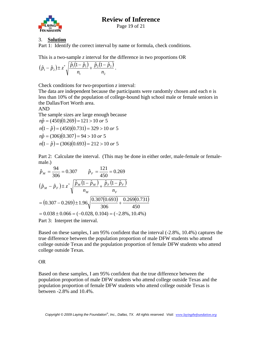

Page 19 of 21

#### 3. **Solution**

Part 1: Identify the correct interval by name or formula, check conditions.

This is a two-sample *z* interval for the difference in two proportions OR

$$
(\hat{p}_1 - \hat{p}_2) \pm z^* \sqrt{\frac{\hat{p}_1(1-\hat{p}_1)}{n_1} + \frac{\hat{p}_2(1-\hat{p}_2)}{n_2}}.
$$

Check conditions for two-proportion *z* interval:

The data are independent because the participants were randomly chosen and each *n* is less than 10% of the population of college-bound high school male or female seniors in the Dallas/Fort Worth area.

AND

The sample sizes are large enough because  $n\hat{p} = (450)(0.269) = 121 > 10 \text{ or } 5$  $n(1 - \hat{p}) = (450)(0.731) = 329 > 10$  or 5  $n\hat{p} = (306)(0.307) = 94 > 10$  or 5  $n(1 - \hat{p}) = (306)(0.693) = 212 > 10$  or 5

Part 2: Calculate the interval. (This may be done in either order, male-female or femalemale.)

$$
\hat{p}_M = \frac{94}{306} = 0.307 \qquad \hat{p}_F = \frac{121}{450} = 0.269
$$
\n
$$
(\hat{p}_M - \hat{p}_F) \pm z^* \sqrt{\frac{\hat{p}_M (1 - \hat{p}_M)}{n_M} + \frac{\hat{p}_F (1 - \hat{p}_F)}{n_F}}
$$
\n
$$
= (0.307 - 0.269) \pm 1.96 \sqrt{\frac{0.307 (0.693)}{306} + \frac{0.269 (0.731)}{450}}
$$
\n
$$
= 0.038 \pm 0.066 = (-0.028, 0.104) = (-2.8\%, 10.4\%)
$$
\nPart 3: Interpret the interval.

Based on these samples, I am 95% confident that the interval (-2.8%, 10.4%) captures the true difference between the population proportion of male DFW students who attend college outside Texas and the population proportion of female DFW students who attend college outside Texas.

#### OR

Based on these samples, I am 95% confident that the true difference between the population proportion of male DFW students who attend college outside Texas and the population proportion of female DFW students who attend college outside Texas is between -2.8% and 10.4%.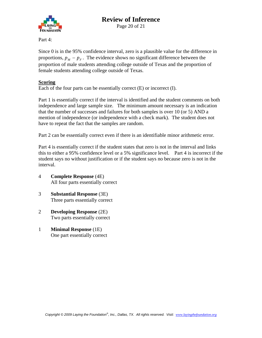

Page 20 of 21

Part 4:

Since 0 is in the 95% confidence interval, zero is a plausible value for the difference in proportions,  $p_M - p_F$ . The evidence shows no significant difference between the proportion of male students attending college outside of Texas and the proportion of female students attending college outside of Texas.

#### **Scoring**

Each of the four parts can be essentially correct (E) or incorrect (I).

Part 1 is essentially correct if the interval is identified and the student comments on both independence and large sample size. The minimum amount necessary is an indication that the number of successes and failures for both samples is over 10 (or 5) AND a mention of independence (or independence with a check mark). The student does not have to repeat the fact that the samples are random.

Part 2 can be essentially correct even if there is an identifiable minor arithmetic error.

Part 4 is essentially correct if the student states that zero is not in the interval and links this to either a 95% confidence level or a 5% significance level. Part 4 is incorrect if the student says no without justification or if the student says no because zero is not in the interval.

- 4 **Complete Response** (4E) All four parts essentially correct
- 3 **Substantial Response** (3E) Three parts essentially correct
- 2 **Developing Response** (2E) Two parts essentially correct
- 1 **Minimal Response** (1E) One part essentially correct